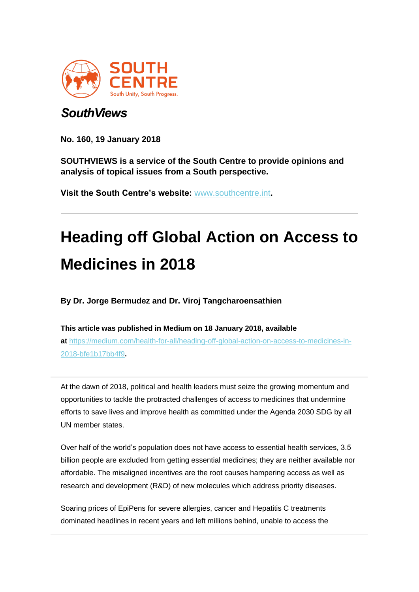

## *SouthViews*

**No. 160, 19 January 2018**

**SOUTHVIEWS is a service of the South Centre to provide opinions and analysis of topical issues from a South perspective.**

**Visit the South Centre's website:** [www.southcentre.int](https://southcentre.us5.list-manage.com/track/click?u=fa9cf38799136b5660f367ba6&id=b216fb0cf0&e=0ba6f79724)**.**

## **Heading off Global Action on Access to Medicines in 2018**

**By Dr. Jorge Bermudez and Dr. Viroj Tangcharoensathien**

**This article was published in Medium on 18 January 2018, available at** [https://medium.com/health-for-all/heading-off-global-action-on-access-to-medicines-in-](https://southcentre.us5.list-manage.com/track/click?u=fa9cf38799136b5660f367ba6&id=9155af9d8b&e=0ba6f79724)[2018-bfe1b17bb4f9](https://southcentre.us5.list-manage.com/track/click?u=fa9cf38799136b5660f367ba6&id=9155af9d8b&e=0ba6f79724)**.**

At the dawn of 2018, political and health leaders must seize the growing momentum and opportunities to tackle the protracted challenges of access to medicines that undermine efforts to save lives and improve health as committed under the Agenda 2030 SDG by all UN member states.

Over half of the world's population does not have access to essential health services, 3.5 billion people are excluded from getting essential medicines; they are neither available nor affordable. The misaligned incentives are the root causes hampering access as well as research and development (R&D) of new molecules which address priority diseases.

Soaring prices of EpiPens for severe allergies, cancer and Hepatitis C treatments dominated headlines in recent years and left millions behind, unable to access the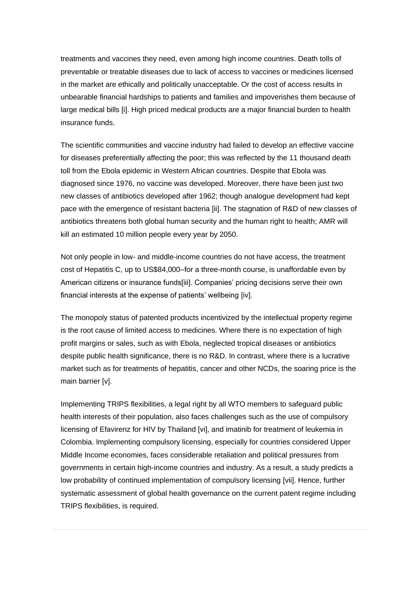treatments and vaccines they need, even among high income countries. Death tolls of preventable or treatable diseases due to lack of access to vaccines or medicines licensed in the market are ethically and politically unacceptable. Or the cost of access results in unbearable financial hardships to patients and families and impoverishes them because of large medical bills [i]. High priced medical products are a major financial burden to health insurance funds.

The scientific communities and vaccine industry had failed to develop an effective vaccine for diseases preferentially affecting the poor; this was reflected by the 11 thousand death toll from the Ebola epidemic in Western African countries. Despite that Ebola was diagnosed since 1976, no vaccine was developed. Moreover, there have been just two new classes of antibiotics developed after 1962; though analogue development had kept pace with the emergence of resistant bacteria [ii]. The stagnation of R&D of new classes of antibiotics threatens both global human security and the human right to health; AMR will kill an estimated 10 million people every year by 2050.

Not only people in low- and middle-income countries do not have access, the treatment cost of Hepatitis C, up to US\$84,000–for a three-month course, is unaffordable even by American citizens or insurance funds[iii]. Companies' pricing decisions serve their own financial interests at the expense of patients' wellbeing [iv].

The monopoly status of patented products incentivized by the intellectual property regime is the root cause of limited access to medicines. Where there is no expectation of high profit margins or sales, such as with Ebola, neglected tropical diseases or antibiotics despite public health significance, there is no R&D. In contrast, where there is a lucrative market such as for treatments of hepatitis, cancer and other NCDs, the soaring price is the main barrier [v].

Implementing TRIPS flexibilities, a legal right by all WTO members to safeguard public health interests of their population, also faces challenges such as the use of compulsory licensing of Efavirenz for HIV by Thailand [vi], and imatinib for treatment of leukemia in Colombia. Implementing compulsory licensing, especially for countries considered Upper Middle Income economies, faces considerable retaliation and political pressures from governments in certain high-income countries and industry. As a result, a study predicts a low probability of continued implementation of compulsory licensing [vii]. Hence, further systematic assessment of global health governance on the current patent regime including TRIPS flexibilities, is required.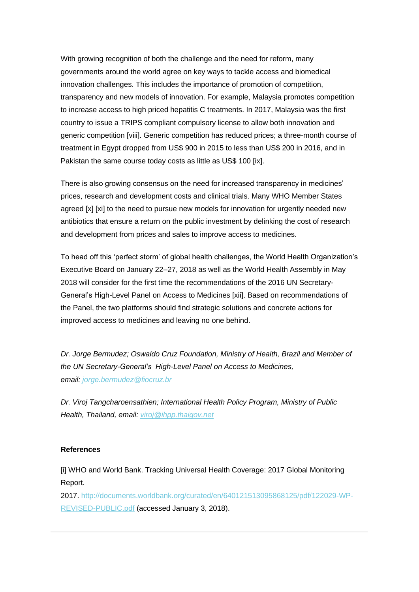With growing recognition of both the challenge and the need for reform, many governments around the world agree on key ways to tackle access and biomedical innovation challenges. This includes the importance of promotion of competition, transparency and new models of innovation. For example, Malaysia promotes competition to increase access to high priced hepatitis C treatments. In 2017, Malaysia was the first country to issue a TRIPS compliant compulsory license to allow both innovation and generic competition [viii]. Generic competition has reduced prices; a three-month course of treatment in Egypt dropped from US\$ 900 in 2015 to less than US\$ 200 in 2016, and in Pakistan the same course today costs as little as US\$ 100 [ix].

There is also growing consensus on the need for increased transparency in medicines' prices, research and development costs and clinical trials. Many WHO Member States agreed [x] [xi] to the need to pursue new models for innovation for urgently needed new antibiotics that ensure a return on the public investment by delinking the cost of research and development from prices and sales to improve access to medicines.

To head off this 'perfect storm' of global health challenges, the World Health Organization's Executive Board on January 22–27, 2018 as well as the World Health Assembly in May 2018 will consider for the first time the recommendations of the 2016 UN Secretary-General's High-Level Panel on Access to Medicines [xii]. Based on recommendations of the Panel, the two platforms should find strategic solutions and concrete actions for improved access to medicines and leaving no one behind.

*Dr. Jorge Bermudez; Oswaldo Cruz Foundation, Ministry of Health, Brazil and Member of the UN Secretary-General's High-Level Panel on Access to Medicines, email: [jorge.bermudez@fiocruz.br](mailto:jorge.bermudez@fiocruz.br)*

*Dr. Viroj Tangcharoensathien; International Health Policy Program, Ministry of Public Health, Thailand, email: [viroj@ihpp.thaigov.net](mailto:viroj@ihpp.thaigov.net)*

## **References**

[i] WHO and World Bank. Tracking Universal Health Coverage: 2017 Global Monitoring Report.

2017. [http://documents.worldbank.org/curated/en/640121513095868125/pdf/122029-WP-](https://southcentre.us5.list-manage.com/track/click?u=fa9cf38799136b5660f367ba6&id=3f452b95c7&e=0ba6f79724)[REVISED-PUBLIC.pdf](https://southcentre.us5.list-manage.com/track/click?u=fa9cf38799136b5660f367ba6&id=3f452b95c7&e=0ba6f79724) (accessed January 3, 2018).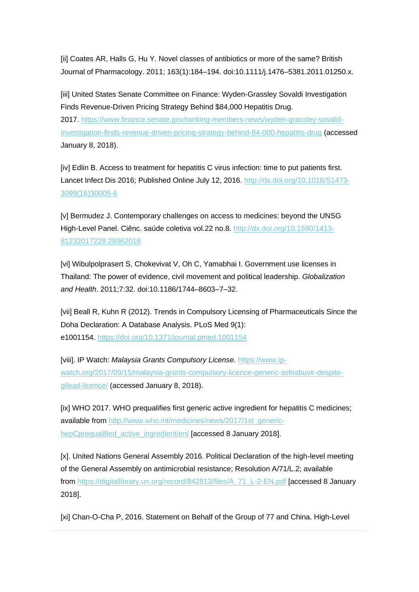[ii] Coates AR, Halls G, Hu Y. Novel classes of antibiotics or more of the same? British Journal of Pharmacology. 2011; 163(1):184–194. doi:10.1111/j.1476–5381.2011.01250.x.

[iii] United States Senate Committee on Finance: Wyden-Grassley Sovaldi Investigation Finds Revenue-Driven Pricing Strategy Behind \$84,000 Hepatitis Drug.

2017. [https://www.finance.senate.gov/ranking-members-news/wyden-grassley-sovaldi](https://southcentre.us5.list-manage.com/track/click?u=fa9cf38799136b5660f367ba6&id=a039faf2a3&e=0ba6f79724)[investigation-finds-revenue-driven-pricing-strategy-behind-84-000-hepatitis-drug](https://southcentre.us5.list-manage.com/track/click?u=fa9cf38799136b5660f367ba6&id=a039faf2a3&e=0ba6f79724) (accessed January 8, 2018).

[iv] Edlin B. Access to treatment for hepatitis C virus infection: time to put patients first. Lancet Infect Dis 2016; Published Online July 12, 2016. [http://dx.doi.org/10.1016/S1473-](https://southcentre.us5.list-manage.com/track/click?u=fa9cf38799136b5660f367ba6&id=8cbd8325fa&e=0ba6f79724) [3099\(16\)30005-6](https://southcentre.us5.list-manage.com/track/click?u=fa9cf38799136b5660f367ba6&id=8cbd8325fa&e=0ba6f79724)

[v] Bermudez J. Contemporary challenges on access to medicines: beyond the UNSG High-Level Panel. Ciênc. saúde coletiva vol.22 no.8. [http://dx.doi.org/10.1590/1413-](https://southcentre.us5.list-manage.com/track/click?u=fa9cf38799136b5660f367ba6&id=c25785d400&e=0ba6f79724) [81232017228.29362016](https://southcentre.us5.list-manage.com/track/click?u=fa9cf38799136b5660f367ba6&id=c25785d400&e=0ba6f79724)

[vi] Wibulpolprasert S, Chokevivat V, Oh C, Yamabhai I. Government use licenses in Thailand: The power of evidence, civil movement and political leadership. *Globalization and Health*. 2011;7:32. doi:10.1186/1744–8603–7–32.

[vii] Beall R, Kuhn R (2012). Trends in Compulsory Licensing of Pharmaceuticals Since the Doha Declaration: A Database Analysis. PLoS Med 9(1): e1001154. [https://doi.org/10.1371/journal.pmed.1001154](https://southcentre.us5.list-manage.com/track/click?u=fa9cf38799136b5660f367ba6&id=fcc281991e&e=0ba6f79724)

[viii]. IP Watch: *Malaysia Grants Compulsory License.* [https://www.ip](https://southcentre.us5.list-manage.com/track/click?u=fa9cf38799136b5660f367ba6&id=40f823156c&e=0ba6f79724)[watch.org/2017/09/15/malaysia-grants-compulsory-licence-generic-sofosbuvir-despite](https://southcentre.us5.list-manage.com/track/click?u=fa9cf38799136b5660f367ba6&id=40f823156c&e=0ba6f79724)[gilead-licence/](https://southcentre.us5.list-manage.com/track/click?u=fa9cf38799136b5660f367ba6&id=40f823156c&e=0ba6f79724) (accessed January 8, 2018).

[ix] WHO 2017. WHO prequalifies first generic active ingredient for hepatitis C medicines; available from [http://www.who.int/medicines/news/2017/1st\\_generic](https://southcentre.us5.list-manage.com/track/click?u=fa9cf38799136b5660f367ba6&id=6dbccf61d3&e=0ba6f79724)hepCprequalified active ingredient/en/ [accessed 8 January 2018].

[x]. United Nations General Assembly 2016. Political Declaration of the high-level meeting of the General Assembly on antimicrobial resistance; Resolution A/71/L.2; available from [https://digitallibrary.un.org/record/842813/files/A\\_71\\_L-2-EN.pdf](https://southcentre.us5.list-manage.com/track/click?u=fa9cf38799136b5660f367ba6&id=7f624760b1&e=0ba6f79724) [accessed 8 January 2018].

[xi] Chan-O-Cha P, 2016. Statement on Behalf of the Group of 77 and China. High-Level